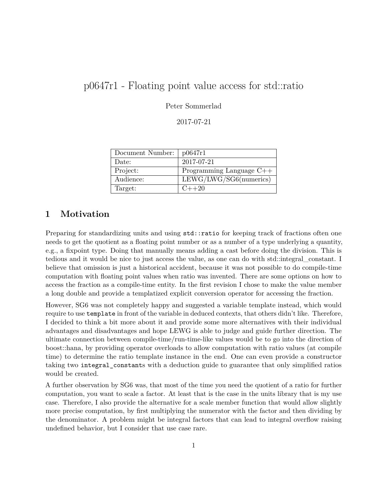# p0647r1 - Floating point value access for std::ratio

Peter Sommerlad

2017-07-21

| Document Number: | p0647r1                    |
|------------------|----------------------------|
| Date:            | 2017-07-21                 |
| Project:         | Programming Language $C++$ |
| Audience:        | LEWG/LWG/SG6(numeries)     |
| Target:          | $C++20$                    |

### **1 Motivation**

Preparing for standardizing units and using  $std:$ : ratio for keeping track of fractions often one needs to get the quotient as a floating point number or as a number of a type underlying a quantity, e.g., a fixpoint type. Doing that manually means adding a cast before doing the division. This is tedious and it would be nice to just access the value, as one can do with std::integral\_constant. I believe that omission is just a historical accident, because it was not possible to do compile-time computation with floating point values when ratio was invented. There are some options on how to access the fraction as a compile-time entity. In the first revision I chose to make the value member a long double and provide a templatized explicit conversion operator for accessing the fraction.

However, SG6 was not completely happy and suggested a variable template instead, which would require to use template in front of the variable in deduced contexts, that others didn't like. Therefore, I decided to think a bit more about it and provide some more alternatives with their individual advantages and disadvantages and hope LEWG is able to judge and guide further direction. The ultimate connection between compile-time/run-time-like values would be to go into the direction of boost::hana, by providing operator overloads to allow computation with ratio values (at compile time) to determine the ratio template instance in the end. One can even provide a constructor taking two integral\_constants with a deduction guide to guarantee that only simplified ratios would be created.

A further observation by SG6 was, that most of the time you need the quotient of a ratio for further computation, you want to scale a factor. At least that is the case in the units library that is my use case. Therefore, I also provide the alternative for a scale member function that would allow slightly more precise computation, by first multiplying the numerator with the factor and then dividing by the denominator. A problem might be integral factors that can lead to integral overflow raising undefined behavior, but I consider that use case rare.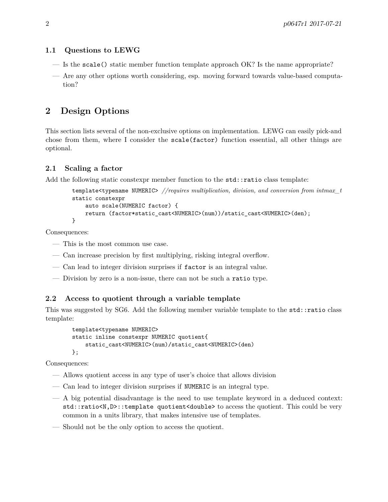#### **1.1 Questions to LEWG**

- Is the scale() static member function template approach OK? Is the name appropriate?
- Are any other options worth considering, esp. moving forward towards value-based computation?

### **2 Design Options**

This section lists several of the non-exclusive options on implementation. LEWG can easily pick-and chose from them, where I consider the scale(factor) function essential, all other things are optional.

#### **2.1 Scaling a factor**

Add the following static constexpr member function to the std::ratio class template:

```
template<typename NUMERIC> //requires multiplication, division, and conversion from intmax_t
static constexpr
    auto scale(NUMERIC factor) {
    return (factor*static_cast<NUMERIC>(num))/static_cast<NUMERIC>(den);
}
```
Consequences:

- This is the most common use case.
- Can increase precision by first multiplying, risking integral overflow.
- Can lead to integer division surprises if factor is an integral value.
- Division by zero is a non-issue, there can not be such a ratio type.

#### **2.2 Access to quotient through a variable template**

This was suggested by SG6. Add the following member variable template to the std::ratio class template:

```
template<typename NUMERIC>
static inline constexpr NUMERIC quotient{
    static_cast<NUMERIC>(num)/static_cast<NUMERIC>(den)
};
```
Consequences:

- Allows quotient access in any type of user's choice that allows division
- Can lead to integer division surprises if NUMERIC is an integral type.
- $-$  A big potential disadvantage is the need to use template keyword in a deduced context: std::ratio<N,D>::template quotient<double> to access the quotient. This could be very common in a units library, that makes intensive use of templates.
- Should not be the only option to access the quotient.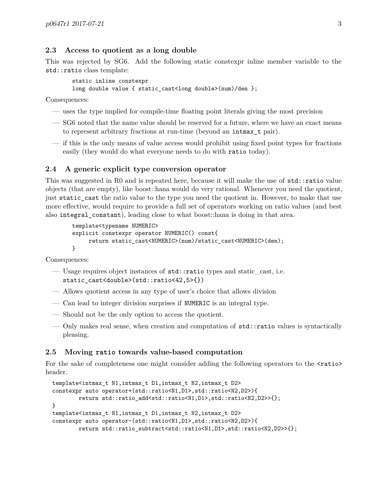#### **2.3 Access to quotient as a long double**

This was rejected by SG6. Add the following static constexpr inline member variable to the std::ratio class template:

```
static inline constexpr
long double value { static cast<long double>(num)/den };
```
Consequences:

- uses the type implied for compile-time floating point literals giving the most precision
- SG6 noted that the name value should be reserved for a future, where we have an exact means to represent arbitrary fractions at run-time (beyond an intmax\_t pair).
- if this is the only means of value access would prohibit using fixed point types for fractions easily (they would do what everyone needs to do with ratio today).

#### **2.4 A generic explicit type conversion operator**

This was suggested in R0 and is repeated here, because it will make the use of std::ratio value objects (that are empty), like boost::hana would do very rational. Whenever you need the quotient, just static\_cast the ratio value to the type you need the quotient in. However, to make that use more effective, would require to provide a full set of operators working on ratio values (and best also integral\_constant), leading close to what boost::hana is doing in that area.

```
template<typename NUMERIC>
explicit constexpr operator NUMERIC() const{
    return static_cast<NUMERIC>(num)/static_cast<NUMERIC>(den);
}
```
Consequences:

- Usage requires object instances of std::ratio types and static\_cast, i.e. static cast<double>(std::ratio<42,5>{})
- Allows quotient access in any type of user's choice that allows division
- Can lead to integer division surprises if NUMERIC is an integral type.
- Should not be the only option to access the quotient.
- Only makes real sense, when creation and computation of std::ratio values is syntactically pleasing.

#### **2.5 Moving ratio towards value-based computation**

For the sake of completeness one might consider adding the following operators to the  $\epsilon$ ratio header.

```
template<intmax_t N1,intmax_t D1,intmax_t N2,intmax_t D2>
constexpr auto operator+(std::ratio<N1,D1>,std::ratio<N2,D2>){
        return std::ratio_add<std::ratio<N1,D1>,std::ratio<N2,D2>>{};
}
template<intmax_t N1,intmax_t D1,intmax_t N2,intmax_t D2>
constexpr auto operator-(std::ratio<N1,D1>,std::ratio<N2,D2>){
        return std::ratio_subtract<std::ratio<N1,D1>,std::ratio<N2,D2>>{};
```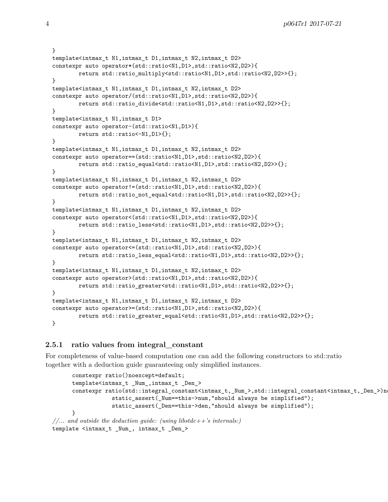```
}
template<intmax_t N1,intmax_t D1,intmax_t N2,intmax_t D2>
constexpr auto operator*(std::ratio<N1,D1>,std::ratio<N2,D2>){
        return std::ratio_multiply<std::ratio<N1,D1>,std::ratio<N2,D2>>{};
}
template<intmax t N1,intmax t D1,intmax t N2,intmax t D2>
constexpr auto operator/(std::ratio<N1,D1>,std::ratio<N2,D2>){
        return std::ratio_divide<std::ratio<N1,D1>,std::ratio<N2,D2>>{};
}
template<intmax_t N1,intmax_t D1>
constexpr auto operator-(std::ratio<N1,D1>){
       return std::ratio<-N1,D1>{};
}
template<intmax_t N1,intmax_t D1,intmax_t N2,intmax_t D2>
constexpr auto operator==(std::ratio<N1,D1>,std::ratio<N2,D2>){
       return std::ratio_equal<std::ratio<N1,D1>,std::ratio<N2,D2>>{};
}
template<intmax_t N1,intmax_t D1,intmax_t N2,intmax_t D2>
constexpr auto operator!=(std::ratio<N1,D1>,std::ratio<N2,D2>){
       return std::ratio_not_equal<std::ratio<N1,D1>,std::ratio<N2,D2>>{};
}
template<intmax_t N1,intmax_t D1,intmax_t N2,intmax_t D2>
constexpr auto operator<(std::ratio<N1,D1>,std::ratio<N2,D2>){
       return std::ratio_less<std::ratio<N1,D1>,std::ratio<N2,D2>>{};
}
template<intmax_t N1,intmax_t D1,intmax_t N2,intmax_t D2>
constexpr auto operator<=(std::ratio<N1,D1>,std::ratio<N2,D2>){
       return std::ratio_less_equal<std::ratio<N1,D1>,std::ratio<N2,D2>>{};
}
template<intmax_t N1,intmax_t D1,intmax_t N2,intmax_t D2>
constexpr auto operator>(std::ratio<N1,D1>,std::ratio<N2,D2>){
        return std::ratio_greater<std::ratio<N1,D1>,std::ratio<N2,D2>>{};
}
template<intmax_t N1,intmax_t D1,intmax_t N2,intmax_t D2>
constexpr auto operator>=(std::ratio<N1,D1>,std::ratio<N2,D2>){
       return std::ratio_greater_equal<std::ratio<N1,D1>,std::ratio<N2,D2>>{};
}
```
#### **2.5.1 ratio values from integral\_constant**

For completeness of value-based computation one can add the following constructors to std::ratio together with a deduction guide guaranteeing only simplified instances.

```
constexpr ratio()noexcept=default;
      template<intmax_t _Num_,intmax_t _Den_>
      constexpr ratio(std::integral_constant<intmax_t,_Num_>,std::integral_constant<intmax_t,_Den_>)n
                  static_assert(_Num==this->num,"should always be simplified");
                  static_assert(_Den==this->den,"should always be simplified");
      }
//... and outside the deduction guide: (using libstdc++'s internals:)
template <intmax_t _Num_, intmax_t _Den_>
```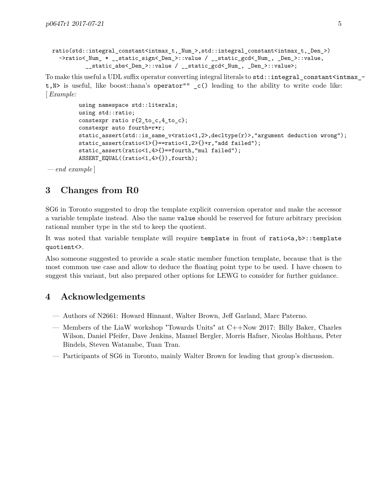```
ratio(std::integral_constant<intmax_t,_Num_>,std::integral_constant<intmax_t,_Den_>)
  ->ratio<_Num_ * __static_sign<_Den_>::value / __static_gcd<_Num_, _Den_>::value,
          __static_abs<_Den_>::value / __static_gcd<_Num_, _Den_>::value>;
```
To make this useful a UDL suffix operator converting integral literals to  $\texttt{std}:\texttt{integral\_constant}\texttt{sin}$ t,N> is useful, like boost::hana's operator"" \_c() leading to the ability to write code like: [*Example:*

```
using namespace std::literals;
using std::ratio;
constexpr ratio r(2 \text{ to } c, 4 \text{ to } c);constexpr auto fourth=r*r;
static_assert(std::is_same_v<ratio<1,2>,decltype(r)>,"argument deduction wrong");
static_assert(ratio<1>{}==ratio<1,2>{}+r,"add failed");
static_assert(ratio<1,4>{}==fourth,"mul failed");
ASSERT_EQUAL((ratio<1,4>{}),fourth);
```
 $-$  *end* example

## **3 Changes from R0**

SG6 in Toronto suggested to drop the template explicit conversion operator and make the accessor a variable template instead. Also the name value should be reserved for future arbitrary precision rational number type in the std to keep the quotient.

It was noted that variable template will require template in front of ratio<a,b>::template quotient<>.

Also someone suggested to provide a scale static member function template, because that is the most common use case and allow to deduce the floating point type to be used. I have chosen to suggest this variant, but also prepared other options for LEWG to consider for further guidance.

### **4 Acknowledgements**

- Authors of N2661: Howard Hinnant, Walter Brown, Jeff Garland, Marc Paterno.
- Members of the LiaW workshop "Towards Units" at C++Now 2017: Billy Baker, Charles Wilson, Daniel Pfeifer, Dave Jenkins, Manuel Bergler, Morris Hafner, Nicolas Holthaus, Peter Bindels, Steven Watanabe, Tuan Tran.
- Participants of SG6 in Toronto, mainly Walter Brown for leading that group's discussion.